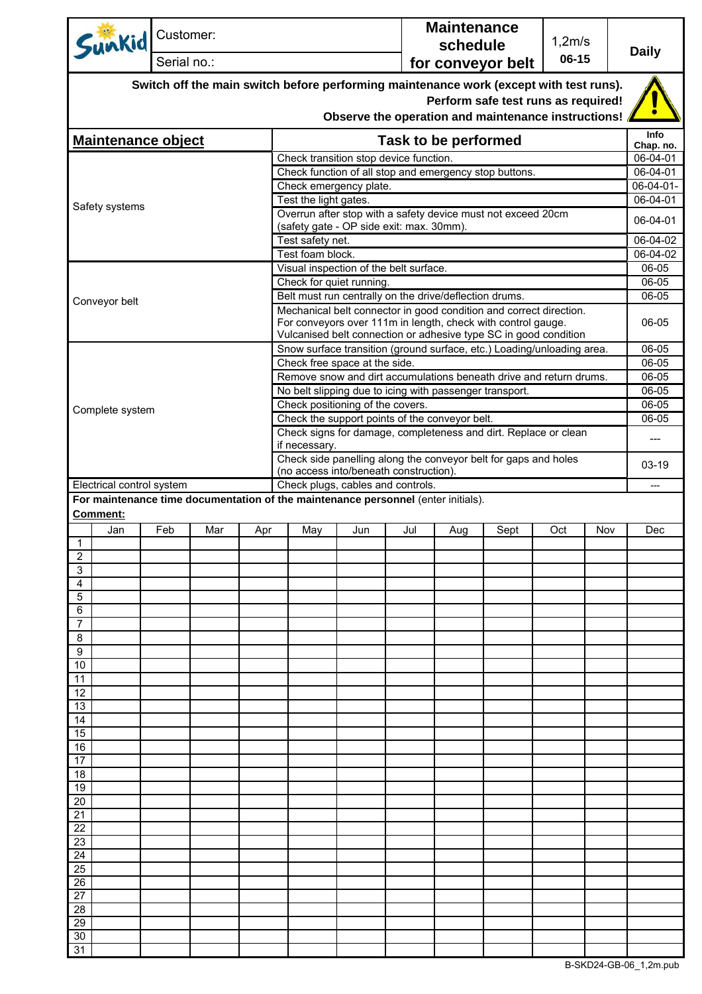|                                                                                                                                                                                      | Sunkid                    | Customer:   |     |     |                                                                                                                                                                                                        |     |     | <b>Maintenance</b><br>schedule |      | 1,2m/s |     | <b>Daily</b>          |  |
|--------------------------------------------------------------------------------------------------------------------------------------------------------------------------------------|---------------------------|-------------|-----|-----|--------------------------------------------------------------------------------------------------------------------------------------------------------------------------------------------------------|-----|-----|--------------------------------|------|--------|-----|-----------------------|--|
|                                                                                                                                                                                      |                           | Serial no.: |     |     |                                                                                                                                                                                                        |     |     | 06-15<br>for conveyor belt     |      |        |     |                       |  |
| Switch off the main switch before performing maintenance work (except with test runs).<br>Perform safe test runs as required!<br>Observe the operation and maintenance instructions! |                           |             |     |     |                                                                                                                                                                                                        |     |     |                                |      |        |     |                       |  |
|                                                                                                                                                                                      | <b>Maintenance object</b> |             |     |     |                                                                                                                                                                                                        |     |     | Task to be performed           |      |        |     | Info                  |  |
|                                                                                                                                                                                      |                           |             |     |     |                                                                                                                                                                                                        |     |     |                                |      |        |     | Chap. no.<br>06-04-01 |  |
|                                                                                                                                                                                      |                           |             |     |     | Check transition stop device function.<br>Check function of all stop and emergency stop buttons.                                                                                                       |     |     |                                |      |        |     |                       |  |
|                                                                                                                                                                                      |                           |             |     |     | Check emergency plate.                                                                                                                                                                                 |     |     |                                |      |        |     |                       |  |
|                                                                                                                                                                                      | Safety systems            |             |     |     | Test the light gates.                                                                                                                                                                                  |     |     |                                |      |        |     |                       |  |
|                                                                                                                                                                                      |                           |             |     |     | Overrun after stop with a safety device must not exceed 20cm<br>(safety gate - OP side exit: max. 30mm).                                                                                               |     |     |                                |      |        |     |                       |  |
|                                                                                                                                                                                      |                           |             |     |     | Test safety net.                                                                                                                                                                                       |     |     |                                |      |        |     | 06-04-02              |  |
|                                                                                                                                                                                      |                           |             |     |     | Test foam block.                                                                                                                                                                                       |     |     |                                |      |        |     | 06-04-02              |  |
|                                                                                                                                                                                      |                           |             |     |     | Visual inspection of the belt surface.                                                                                                                                                                 |     |     |                                |      |        |     | 06-05                 |  |
|                                                                                                                                                                                      |                           |             |     |     | Check for quiet running.<br>Belt must run centrally on the drive/deflection drums.                                                                                                                     |     |     |                                |      |        |     | 06-05<br>06-05        |  |
|                                                                                                                                                                                      | Conveyor belt             |             |     |     |                                                                                                                                                                                                        |     |     |                                |      |        |     |                       |  |
|                                                                                                                                                                                      |                           |             |     |     | Mechanical belt connector in good condition and correct direction.<br>For conveyors over 111m in length, check with control gauge.<br>Vulcanised belt connection or adhesive type SC in good condition |     |     |                                |      |        |     |                       |  |
|                                                                                                                                                                                      |                           |             |     |     | Snow surface transition (ground surface, etc.) Loading/unloading area.                                                                                                                                 |     |     |                                |      |        |     | 06-05                 |  |
|                                                                                                                                                                                      |                           |             |     |     | Check free space at the side.<br>Remove snow and dirt accumulations beneath drive and return drums.                                                                                                    |     |     |                                |      |        |     | 06-05<br>06-05        |  |
|                                                                                                                                                                                      |                           |             |     |     | No belt slipping due to icing with passenger transport.                                                                                                                                                |     |     |                                |      |        |     | 06-05                 |  |
|                                                                                                                                                                                      | Complete system           |             |     |     | Check positioning of the covers.                                                                                                                                                                       |     |     |                                |      |        |     | 06-05                 |  |
|                                                                                                                                                                                      |                           |             |     |     | Check the support points of the conveyor belt.                                                                                                                                                         |     |     |                                |      |        |     |                       |  |
|                                                                                                                                                                                      |                           |             |     |     | Check signs for damage, completeness and dirt. Replace or clean<br>if necessary.                                                                                                                       |     |     |                                |      |        |     |                       |  |
|                                                                                                                                                                                      |                           |             |     |     | Check side panelling along the conveyor belt for gaps and holes<br>(no access into/beneath construction).<br>Check plugs, cables and controls.                                                         |     |     |                                |      |        |     | $03-19$               |  |
|                                                                                                                                                                                      | Electrical control system |             |     |     | For maintenance time documentation of the maintenance personnel (enter initials).                                                                                                                      |     |     |                                |      |        |     | ---                   |  |
| <b>Comment:</b>                                                                                                                                                                      |                           |             |     |     |                                                                                                                                                                                                        |     |     |                                |      |        |     |                       |  |
|                                                                                                                                                                                      | Jan                       | Feb         | Mar | Apr | May                                                                                                                                                                                                    | Jun | Jul | Aug                            | Sept | Oct    | Nov | Dec                   |  |
| $\mathbf{1}$                                                                                                                                                                         |                           |             |     |     |                                                                                                                                                                                                        |     |     |                                |      |        |     |                       |  |
| 2<br>3                                                                                                                                                                               |                           |             |     |     |                                                                                                                                                                                                        |     |     |                                |      |        |     |                       |  |
| 4                                                                                                                                                                                    |                           |             |     |     |                                                                                                                                                                                                        |     |     |                                |      |        |     |                       |  |
| 5                                                                                                                                                                                    |                           |             |     |     |                                                                                                                                                                                                        |     |     |                                |      |        |     |                       |  |
| 6                                                                                                                                                                                    |                           |             |     |     |                                                                                                                                                                                                        |     |     |                                |      |        |     |                       |  |
| 7<br>8                                                                                                                                                                               |                           |             |     |     |                                                                                                                                                                                                        |     |     |                                |      |        |     |                       |  |
| 9                                                                                                                                                                                    |                           |             |     |     |                                                                                                                                                                                                        |     |     |                                |      |        |     |                       |  |
| 10                                                                                                                                                                                   |                           |             |     |     |                                                                                                                                                                                                        |     |     |                                |      |        |     |                       |  |
| 11                                                                                                                                                                                   |                           |             |     |     |                                                                                                                                                                                                        |     |     |                                |      |        |     |                       |  |
| 12<br>13                                                                                                                                                                             |                           |             |     |     |                                                                                                                                                                                                        |     |     |                                |      |        |     |                       |  |
| 14                                                                                                                                                                                   |                           |             |     |     |                                                                                                                                                                                                        |     |     |                                |      |        |     |                       |  |
| 15                                                                                                                                                                                   |                           |             |     |     |                                                                                                                                                                                                        |     |     |                                |      |        |     |                       |  |
| 16                                                                                                                                                                                   |                           |             |     |     |                                                                                                                                                                                                        |     |     |                                |      |        |     |                       |  |
| 17                                                                                                                                                                                   |                           |             |     |     |                                                                                                                                                                                                        |     |     |                                |      |        |     |                       |  |
| 18<br>19                                                                                                                                                                             |                           |             |     |     |                                                                                                                                                                                                        |     |     |                                |      |        |     |                       |  |
| 20                                                                                                                                                                                   |                           |             |     |     |                                                                                                                                                                                                        |     |     |                                |      |        |     |                       |  |
| 21                                                                                                                                                                                   |                           |             |     |     |                                                                                                                                                                                                        |     |     |                                |      |        |     |                       |  |
| 22                                                                                                                                                                                   |                           |             |     |     |                                                                                                                                                                                                        |     |     |                                |      |        |     |                       |  |
| 23<br>24                                                                                                                                                                             |                           |             |     |     |                                                                                                                                                                                                        |     |     |                                |      |        |     |                       |  |
| 25                                                                                                                                                                                   |                           |             |     |     |                                                                                                                                                                                                        |     |     |                                |      |        |     |                       |  |
| 26                                                                                                                                                                                   |                           |             |     |     |                                                                                                                                                                                                        |     |     |                                |      |        |     |                       |  |
| 27                                                                                                                                                                                   |                           |             |     |     |                                                                                                                                                                                                        |     |     |                                |      |        |     |                       |  |
| 28                                                                                                                                                                                   |                           |             |     |     |                                                                                                                                                                                                        |     |     |                                |      |        |     |                       |  |
| 29<br>30                                                                                                                                                                             |                           |             |     |     |                                                                                                                                                                                                        |     |     |                                |      |        |     |                       |  |
| 31                                                                                                                                                                                   |                           |             |     |     |                                                                                                                                                                                                        |     |     |                                |      |        |     |                       |  |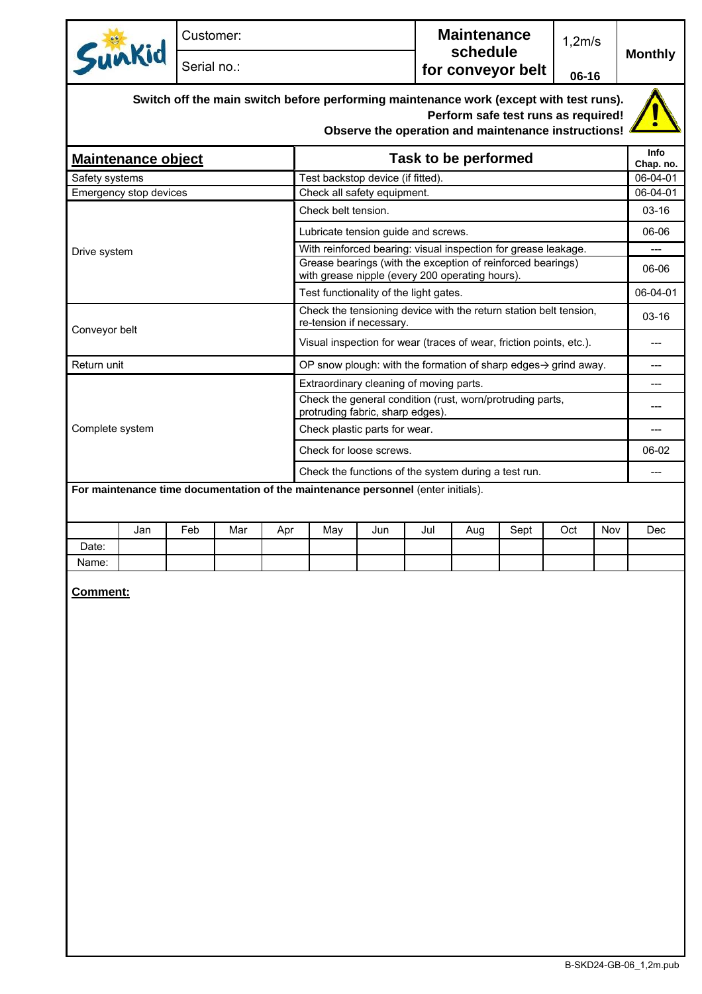|                                                                                                                                                                                      | Customer: |                                                                                                                |     |                                                                     |     |     | <b>Maintenance</b><br>schedule |      |                       | 1,2m/s |                |  |
|--------------------------------------------------------------------------------------------------------------------------------------------------------------------------------------|-----------|----------------------------------------------------------------------------------------------------------------|-----|---------------------------------------------------------------------|-----|-----|--------------------------------|------|-----------------------|--------|----------------|--|
| Sunkid                                                                                                                                                                               |           | Serial no.:                                                                                                    |     |                                                                     |     |     | for conveyor belt              |      |                       | 06-16  | <b>Monthly</b> |  |
| Switch off the main switch before performing maintenance work (except with test runs).<br>Perform safe test runs as required!<br>Observe the operation and maintenance instructions! |           |                                                                                                                |     |                                                                     |     |     |                                |      |                       |        |                |  |
| <b>Maintenance object</b>                                                                                                                                                            |           | Task to be performed                                                                                           |     |                                                                     |     |     |                                |      |                       |        |                |  |
| Safety systems                                                                                                                                                                       |           | Test backstop device (if fitted).                                                                              |     |                                                                     |     |     |                                |      | Chap. no.<br>06-04-01 |        |                |  |
| Emergency stop devices                                                                                                                                                               |           |                                                                                                                |     | Check all safety equipment.                                         |     |     |                                |      |                       |        |                |  |
|                                                                                                                                                                                      |           |                                                                                                                |     | Check belt tension.                                                 |     |     |                                |      |                       |        | $03-16$        |  |
|                                                                                                                                                                                      |           |                                                                                                                |     | Lubricate tension guide and screws.                                 |     |     |                                |      |                       |        |                |  |
| Drive system                                                                                                                                                                         |           |                                                                                                                |     | With reinforced bearing: visual inspection for grease leakage.      |     |     |                                |      |                       |        |                |  |
|                                                                                                                                                                                      |           | Grease bearings (with the exception of reinforced bearings)<br>with grease nipple (every 200 operating hours). |     |                                                                     |     |     |                                |      |                       |        |                |  |
|                                                                                                                                                                                      |           |                                                                                                                |     | Test functionality of the light gates.                              |     |     |                                |      |                       |        |                |  |
| Conveyor belt                                                                                                                                                                        |           | Check the tensioning device with the return station belt tension,<br>re-tension if necessary.                  |     |                                                                     |     |     |                                |      |                       |        |                |  |
|                                                                                                                                                                                      |           |                                                                                                                |     | Visual inspection for wear (traces of wear, friction points, etc.). |     |     |                                |      |                       |        |                |  |
| Return unit                                                                                                                                                                          |           | OP snow plough: with the formation of sharp edges $\rightarrow$ grind away.                                    |     |                                                                     |     |     |                                |      |                       |        |                |  |
|                                                                                                                                                                                      |           |                                                                                                                |     | Extraordinary cleaning of moving parts.                             |     |     |                                |      |                       |        |                |  |
|                                                                                                                                                                                      |           | Check the general condition (rust, worn/protruding parts,<br>protruding fabric, sharp edges).                  |     |                                                                     |     |     |                                |      |                       |        |                |  |
| Complete system                                                                                                                                                                      |           | Check plastic parts for wear.                                                                                  |     |                                                                     |     |     |                                |      |                       |        |                |  |
|                                                                                                                                                                                      |           |                                                                                                                |     | Check for loose screws.                                             |     |     |                                |      |                       |        |                |  |
|                                                                                                                                                                                      |           |                                                                                                                |     | Check the functions of the system during a test run.                |     |     |                                |      |                       |        |                |  |
| For maintenance time documentation of the maintenance personnel (enter initials).                                                                                                    |           |                                                                                                                |     |                                                                     |     |     |                                |      |                       |        |                |  |
| Jan                                                                                                                                                                                  | Feb       | Mar                                                                                                            | Apr | May                                                                 | Jun | Jul | Aug                            | Sept | Oct                   | Nov    | Dec            |  |
| Date:                                                                                                                                                                                |           |                                                                                                                |     |                                                                     |     |     |                                |      |                       |        |                |  |
| Name:                                                                                                                                                                                |           |                                                                                                                |     |                                                                     |     |     |                                |      |                       |        |                |  |

**Comment:**